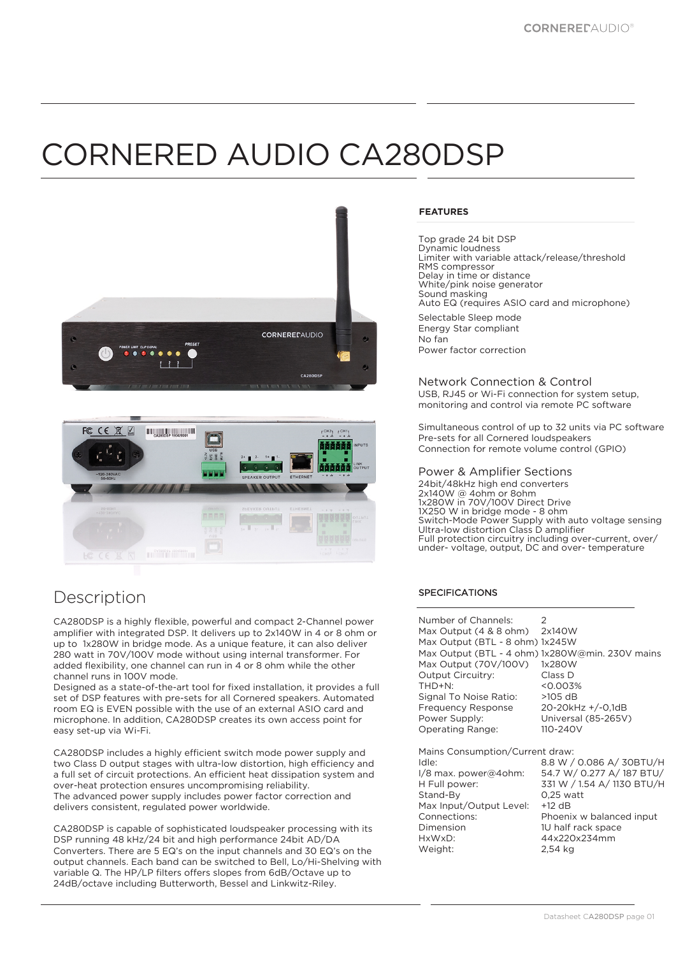# CORNERED AUDIO CA280DSP





## Description

CA280DSP is a highly flexible, powerful and compact 2-Channel power amplifier with integrated DSP. It delivers up to 2x140W in 4 or 8 ohm or up to 1x280W in bridge mode. As a unique feature, it can also deliver 280 watt in 70V/100V mode without using internal transformer. For added flexibility, one channel can run in 4 or 8 ohm while the other channel runs in 100V mode.

Designed as a state-of-the-art tool for fixed installation, it provides a full set of DSP features with pre-sets for all Cornered speakers. Automated room EQ is EVEN possible with the use of an external ASIO card and microphone. In addition, CA280DSP creates its own access point for easy set-up via Wi-Fi.

CA280DSP includes a highly efficient switch mode power supply and two Class D output stages with ultra-low distortion, high efficiency and a full set of circuit protections. An efficient heat dissipation system and over-heat protection ensures uncompromising reliability. The advanced power supply includes power factor correction and delivers consistent, regulated power worldwide.

CA280DSP is capable of sophisticated loudspeaker processing with its DSP running 48 kHz/24 bit and high performance 24bit AD/DA Converters. There are 5 EQ's on the input channels and 30 EQ's on the output channels. Each band can be switched to Bell, Lo/Hi-Shelving with variable Q. The HP/LP filters offers slopes from 6dB/Octave up to 24dB/octave including Butterworth, Bessel and Linkwitz-Riley.

#### **FEATURES**

Top grade 24 bit DSP Dynamic loudness Limiter with variable attack/release/threshold RMS compressor Delay in time or distance White/pink noise generator Sound masking Auto EQ (requires ASIO card and microphone) Selectable Sleep mode

Energy Star compliant No fan Power factor correction

#### Network Connection & Control

USB, RJ45 or Wi-Fi connection for system setup, monitoring and control via remote PC software

Simultaneous control of up to 32 units via PC software Pre-sets for all Cornered loudspeakers Connection for remote volume control (GPIO)

#### Power & Amplifier Sections

24bit/48kHz high end converters 2x140W @ 4ohm or 8ohm 1x280W in 70V/100V Direct Drive 1X250 W in bridge mode - 8 ohm Switch-Mode Power Supply with auto voltage sensing Ultra-low distortion Class D amplifier Full protection circuitry including over-current, over/ under- voltage, output, DC and over- temperature

### SPECIFICATIONS

| Number of Channels:<br>Max Output (4 & 8 ohm) 2x140W<br>Max Output (BTL - 8 ohm) 1x245W<br>Max Output (70V/100V)<br>Output Circuitry:<br>THD+N:<br>Signal To Noise Ratio:<br><b>Frequency Response</b><br>Power Supply:<br>Operating Range: | 2<br>Max Output (BTL - 4 ohm) 1x280W@min. 230V mains<br>1x280W<br>Class D<br>< 0.003%<br>$>105$ dB<br>$20 - 20$ kHz $+/-0$ , 1dB<br>Universal (85-265V)<br>110-240V                        |
|---------------------------------------------------------------------------------------------------------------------------------------------------------------------------------------------------------------------------------------------|--------------------------------------------------------------------------------------------------------------------------------------------------------------------------------------------|
| Mains Consumption/Current draw:<br>Idle:<br>I/8 max. power@4ohm:<br>H Full power:<br>Stand-By<br>Max Input/Output Level:<br>Connections:<br>Dimension<br>HxWxD:<br>Weight:                                                                  | 8.8 W / 0.086 A/ 30BTU/H<br>54.7 W/ 0.277 A/187 BTU/<br>331 W / 1.54 A/ 1130 BTU/H<br>$0.25$ watt<br>$+12$ dB<br>Phoenix w balanced input<br>1U half rack space<br>44x220x234mm<br>2.54 ka |